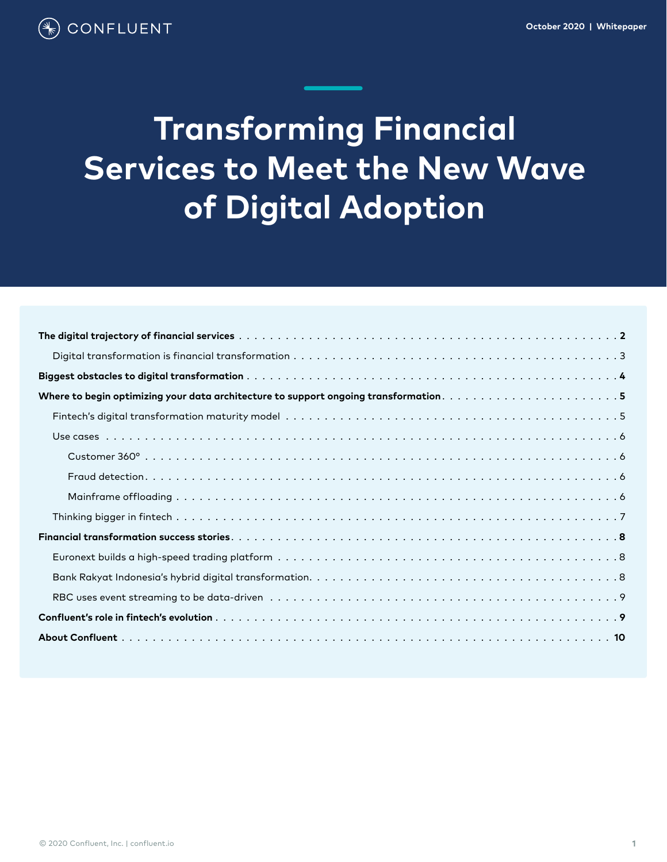# **Transforming Financial Services to Meet the New Wave of Digital Adoption**

| Where to begin optimizing your data architecture to support ongoing transformation5 |  |  |  |  |
|-------------------------------------------------------------------------------------|--|--|--|--|
|                                                                                     |  |  |  |  |
|                                                                                     |  |  |  |  |
|                                                                                     |  |  |  |  |
|                                                                                     |  |  |  |  |
|                                                                                     |  |  |  |  |
|                                                                                     |  |  |  |  |
|                                                                                     |  |  |  |  |
|                                                                                     |  |  |  |  |
|                                                                                     |  |  |  |  |
|                                                                                     |  |  |  |  |
|                                                                                     |  |  |  |  |
|                                                                                     |  |  |  |  |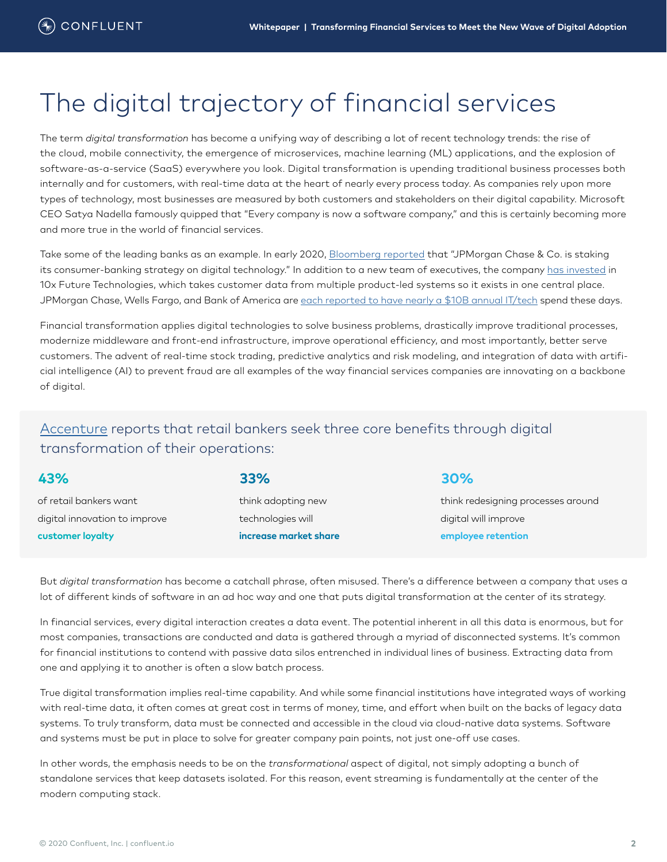# <span id="page-1-0"></span>The digital trajectory of financial services

The term *digital transformation* has become a unifying way of describing a lot of recent technology trends: the rise of the cloud, mobile connectivity, the emergence of microservices, machine learning (ML) applications, and the explosion of software-as-a-service (SaaS) everywhere you look. Digital transformation is upending traditional business processes both internally and for customers, with real-time data at the heart of nearly every process today. As companies rely upon more types of technology, most businesses are measured by both customers and stakeholders on their digital capability. Microsoft CEO Satya Nadella famously quipped that "Every company is now a software company," and this is certainly becoming more and more true in the world of financial services.

Take some of the leading banks as an example. In early 2020, [Bloomberg reported](https://www.bloomberg.com/news/articles/2020-02-06/jpmorgan-revamps-digital-strategy-team-after-three-leaders-exit#:~:text=JPMorgan%20Chase%20%26%20Co.%20is%20staking,a%20new%20team%20of%20executives.) that "JPMorgan Chase & Co. is staking its consumer-banking strategy on digital technology." In addition to a new team of executives, the company [has invested](https://www.fintechfutures.com/2019/07/jp-morgan-to-take-stake-in-10x-technologies/#:~:text=JP%20Morgan%20%E2%80%93%20a%20new%20investor,according%20to%20the%20Sky%20News.&text=In%20the%20UK%2C%2010x%20Future,onto%20its%20acquirer) in 10x Future Technologies, which takes customer data from multiple product-led systems so it exists in one central place. JPMorgan Chase, Wells Fargo, and Bank of America are [each reported to have nearly a \\$10B annual IT/tech](https://www.businessinsider.com/us-banking-tech-spend-forecast) spend these days.

Financial transformation applies digital technologies to solve business problems, drastically improve traditional processes, modernize middleware and front-end infrastructure, improve operational efficiency, and most importantly, better serve customers. The advent of real-time stock trading, predictive analytics and risk modeling, and integration of data with artificial intelligence (AI) to prevent fraud are all examples of the way financial services companies are innovating on a backbone of digital.

### [Accenture](https://www.accenture.com/us-en/insights/financial-services/digital-transformation-remaking-insurance) reports that retail bankers seek three core benefits through digital transformation of their operations:

of retail bankers want digital innovation to improve **customer loyalty**

think adopting new technologies will **increase market share**

### **43% 33% 30%**

think redesigning processes around digital will improve **employee retention**

But *digital transformation* has become a catchall phrase, often misused. There's a difference between a company that uses a lot of different kinds of software in an ad hoc way and one that puts digital transformation at the center of its strategy.

In financial services, every digital interaction creates a data event. The potential inherent in all this data is enormous, but for most companies, transactions are conducted and data is gathered through a myriad of disconnected systems. It's common for financial institutions to contend with passive data silos entrenched in individual lines of business. Extracting data from one and applying it to another is often a slow batch process.

True digital transformation implies real-time capability. And while some financial institutions have integrated ways of working with real-time data, it often comes at great cost in terms of money, time, and effort when built on the backs of legacy data systems. To truly transform, data must be connected and accessible in the cloud via cloud-native data systems. Software and systems must be put in place to solve for greater company pain points, not just one-off use cases.

In other words, the emphasis needs to be on the *transformational* aspect of digital, not simply adopting a bunch of standalone services that keep datasets isolated. For this reason, event streaming is fundamentally at the center of the modern computing stack.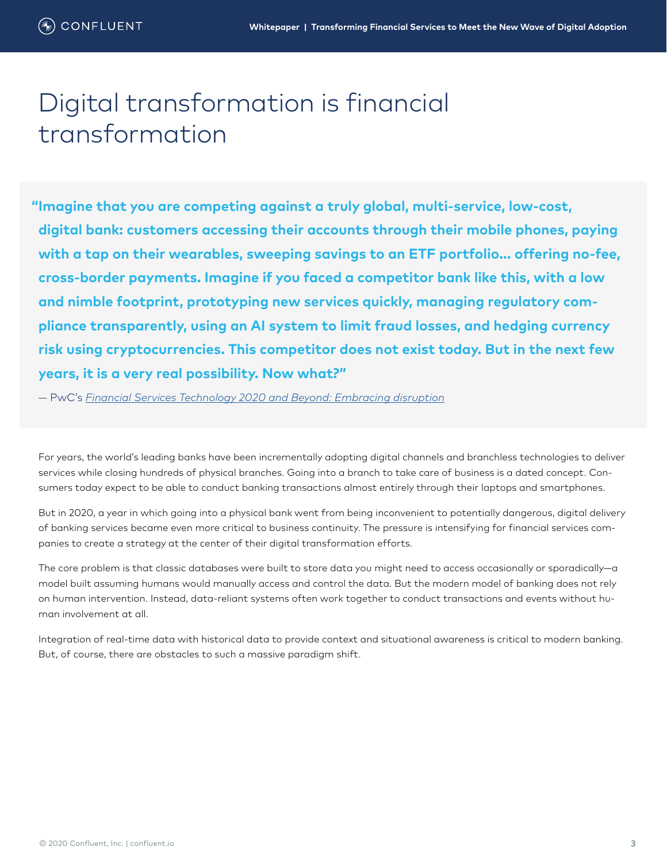# <span id="page-2-0"></span>Digital transformation is financial transformation

**Imagine that you are competing against a truly global, multi-service, low-cost, "digital bank: customers accessing their accounts through their mobile phones, paying with a tap on their wearables, sweeping savings to an ETF portfolio... offering no-fee, cross-border payments. Imagine if you faced a competitor bank like this, with a low and nimble footprint, prototyping new services quickly, managing regulatory compliance transparently, using an AI system to limit fraud losses, and hedging currency risk using cryptocurrencies. This competitor does not exist today. But in the next few years, it is a very real possibility. Now what?"**

— PwC's *[Financial Services Technology 2020 and Beyond: Embracing disruption](https://www.pwc.com/gx/en/financial-services/assets/pdf/technology2020-and-beyond.pdf)*

For years, the world's leading banks have been incrementally adopting digital channels and branchless technologies to deliver services while closing hundreds of physical branches. Going into a branch to take care of business is a dated concept. Consumers today expect to be able to conduct banking transactions almost entirely through their laptops and smartphones.

But in 2020, a year in which going into a physical bank went from being inconvenient to potentially dangerous, digital delivery of banking services became even more critical to business continuity. The pressure is intensifying for financial services companies to create a strategy at the center of their digital transformation efforts.

The core problem is that classic databases were built to store data you might need to access occasionally or sporadically—a model built assuming humans would manually access and control the data. But the modern model of banking does not rely on human intervention. Instead, data-reliant systems often work together to conduct transactions and events without human involvement at all.

Integration of real-time data with historical data to provide context and situational awareness is critical to modern banking. But, of course, there are obstacles to such a massive paradigm shift.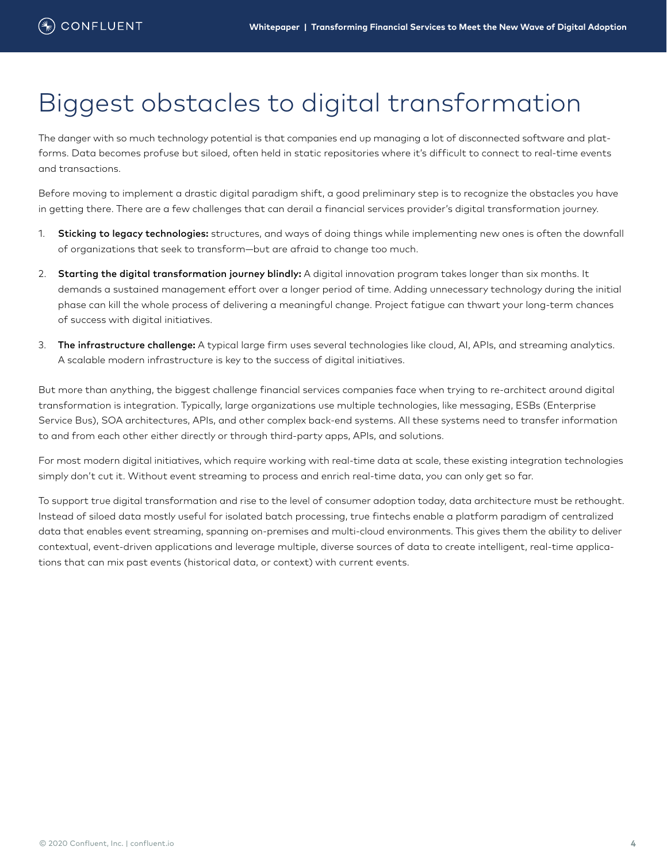# <span id="page-3-0"></span>Biggest obstacles to digital transformation

The danger with so much technology potential is that companies end up managing a lot of disconnected software and platforms. Data becomes profuse but siloed, often held in static repositories where it's difficult to connect to real-time events and transactions.

Before moving to implement a drastic digital paradigm shift, a good preliminary step is to recognize the obstacles you have in getting there. There are a few challenges that can derail a financial services provider's digital transformation journey.

- 1. Sticking to legacy technologies: structures, and ways of doing things while implementing new ones is often the downfall of organizations that seek to transform—but are afraid to change too much.
- 2. Starting the digital transformation journey blindly: A digital innovation program takes longer than six months. It demands a sustained management effort over a longer period of time. Adding unnecessary technology during the initial phase can kill the whole process of delivering a meaningful change. Project fatigue can thwart your long-term chances of success with digital initiatives.
- 3. The infrastructure challenge: A typical large firm uses several technologies like cloud, AI, APIs, and streaming analytics. A scalable modern infrastructure is key to the success of digital initiatives.

But more than anything, the biggest challenge financial services companies face when trying to re-architect around digital transformation is integration. Typically, large organizations use multiple technologies, like messaging, ESBs (Enterprise Service Bus), SOA architectures, APIs, and other complex back-end systems. All these systems need to transfer information to and from each other either directly or through third-party apps, APIs, and solutions.

For most modern digital initiatives, which require working with real-time data at scale, these existing integration technologies simply don't cut it. Without event streaming to process and enrich real-time data, you can only get so far.

To support true digital transformation and rise to the level of consumer adoption today, data architecture must be rethought. Instead of siloed data mostly useful for isolated batch processing, true fintechs enable a platform paradigm of centralized data that enables event streaming, spanning on-premises and multi-cloud environments. This gives them the ability to deliver contextual, event-driven applications and leverage multiple, diverse sources of data to create intelligent, real-time applications that can mix past events (historical data, or context) with current events.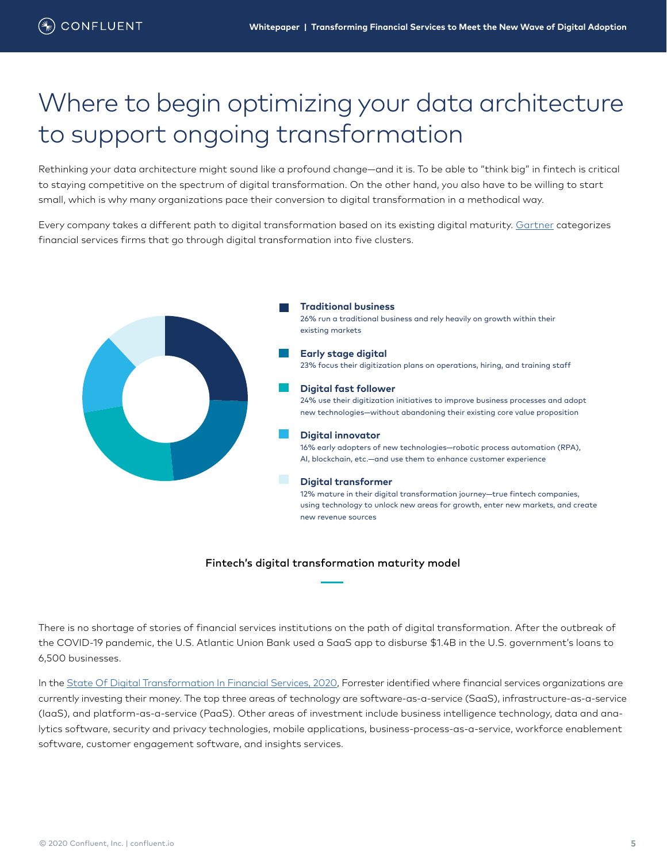# <span id="page-4-0"></span>Where to begin optimizing your data architecture to support ongoing transformation

Rethinking your data architecture might sound like a profound change—and it is. To be able to "think big" in fintech is critical to staying competitive on the spectrum of digital transformation. On the other hand, you also have to be willing to start small, which is why many organizations pace their conversion to digital transformation in a methodical way.

Every company takes a different path to digital transformation based on its existing digital maturity. [Gartner](https://www.gartner.com/smarterwithgartner/the-5-digital-transformation-identities-of-financial-services-organizations/) categorizes financial services firms that go through digital transformation into five clusters.



#### Fintech's digital transformation maturity model

There is no shortage of stories of financial services institutions on the path of digital transformation. After the outbreak of the COVID-19 pandemic, the U.S. Atlantic Union Bank used a SaaS app to disburse \$1.4B in the U.S. government's loans to 6,500 businesses.

In the [State Of Digital Transformation In Financial Services, 2020](https://www.fintechfutures.com/files/2020/05/The-State-Of-Digital-Transformation-In-Financial-Services-2020.pdf), Forrester identified where financial services organizations are currently investing their money. The top three areas of technology are software-as-a-service (SaaS), infrastructure-as-a-service (IaaS), and platform-as-a-service (PaaS). Other areas of investment include business intelligence technology, data and analytics software, security and privacy technologies, mobile applications, business-process-as-a-service, workforce enablement software, customer engagement software, and insights services.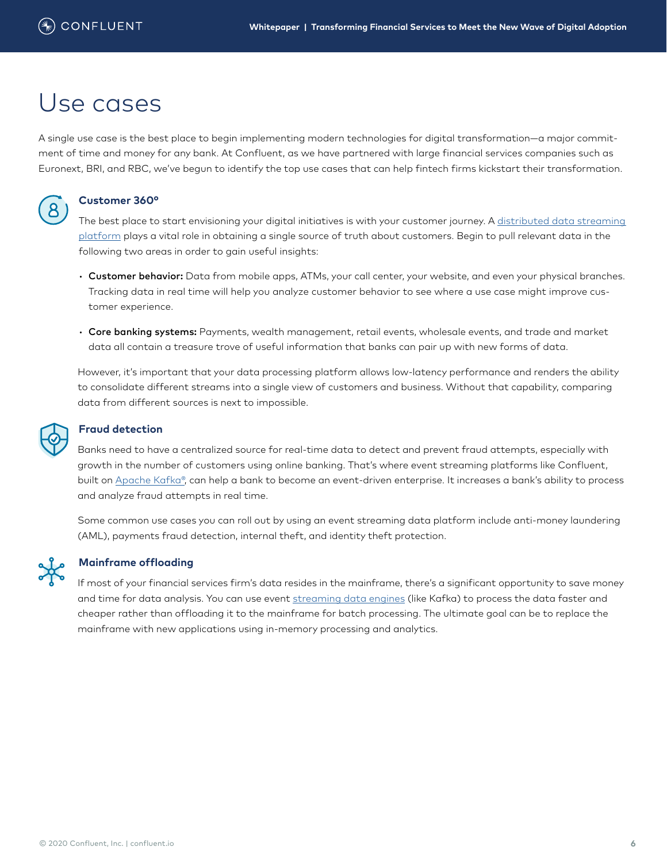### <span id="page-5-0"></span>Use cases

A single use case is the best place to begin implementing modern technologies for digital transformation—a major commitment of time and money for any bank. At Confluent, as we have partnered with large financial services companies such as Euronext, BRI, and RBC, we've begun to identify the top use cases that can help fintech firms kickstart their transformation.



#### **Customer 360°**

The best place to start envisioning your digital initiatives is with your customer journey. A distributed data streaming [platform](https://www.confluent.io/customer-360) plays a vital role in obtaining a single source of truth about customers. Begin to pull relevant data in the following two areas in order to gain useful insights:

- Customer behavior: Data from mobile apps, ATMs, your call center, your website, and even your physical branches. Tracking data in real time will help you analyze customer behavior to see where a use case might improve customer experience.
- Core banking systems: Payments, wealth management, retail events, wholesale events, and trade and market data all contain a treasure trove of useful information that banks can pair up with new forms of data.

However, it's important that your data processing platform allows low-latency performance and renders the ability to consolidate different streams into a single view of customers and business. Without that capability, comparing data from different sources is next to impossible.

### **Fraud detection**

Banks need to have a centralized source for real-time data to detect and prevent fraud attempts, especially with growth in the number of customers using online banking. That's where event streaming platforms like Confluent, built on [Apache Kafka®](https://www.confluent.io/use-case/fraud-detection/), can help a bank to become an event-driven enterprise. It increases a bank's ability to process and analyze fraud attempts in real time.

Some common use cases you can roll out by using an event streaming data platform include anti-money laundering (AML), payments fraud detection, internal theft, and identity theft protection.



#### **Mainframe offloading**

If most of your financial services firm's data resides in the mainframe, there's a significant opportunity to save money and time for data analysis. You can use event [streaming data engines](https://www.confluent.io/online-talks/offloading-and-replacement-with-apache-kafka/#:~:text=Mainframe%20offloading%20with%20Apache%20Kafka,data%20warehouses%20and%20search%20indexes.) (like Kafka) to process the data faster and cheaper rather than offloading it to the mainframe for batch processing. The ultimate goal can be to replace the mainframe with new applications using in-memory processing and analytics.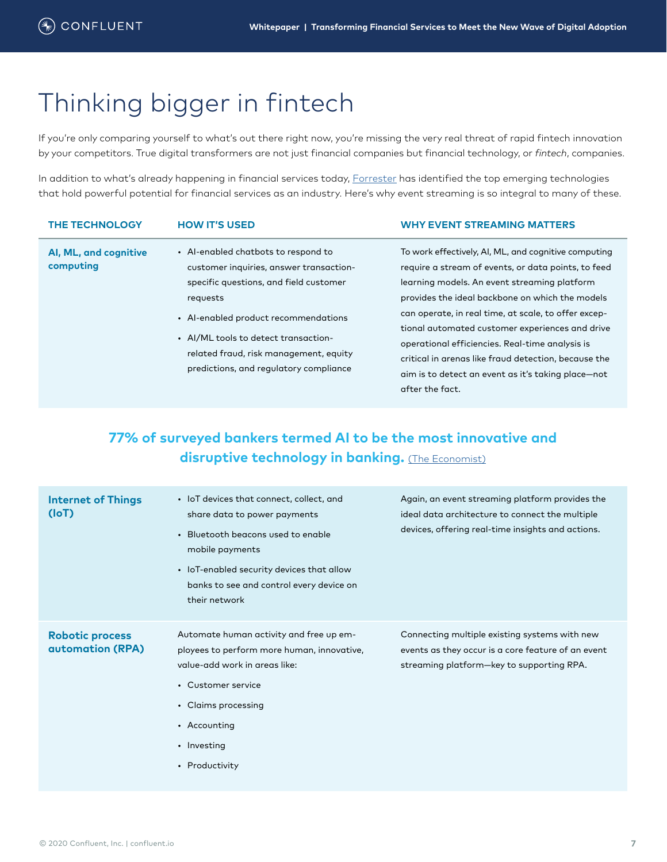### <span id="page-6-0"></span>Thinking bigger in fintech

If you're only comparing yourself to what's out there right now, you're missing the very real threat of rapid fintech innovation by your competitors. True digital transformers are not just financial companies but financial technology, or *fintech*, companies.

In addition to what's already happening in financial services today, [Forrester](https://www.fintechfutures.com/files/2020/05/The-State-Of-Digital-Transformation-In-Financial-Services-2020.pdf) has identified the top emerging technologies that hold powerful potential for financial services as an industry. Here's why event streaming is so integral to many of these.

|                                                                                                                                                                                                                                                                                                                                                                   | <b>WHY EVENT STREAMING MATTERS</b>                                                                                                                                                                                                                                                                                                                                                                                                                                                         |
|-------------------------------------------------------------------------------------------------------------------------------------------------------------------------------------------------------------------------------------------------------------------------------------------------------------------------------------------------------------------|--------------------------------------------------------------------------------------------------------------------------------------------------------------------------------------------------------------------------------------------------------------------------------------------------------------------------------------------------------------------------------------------------------------------------------------------------------------------------------------------|
| • Al-enabled chatbots to respond to<br>Al, ML, and cognitive<br>computing<br>customer inquiries, answer transaction-<br>specific questions, and field customer<br>requests<br>• Al-enabled product recommendations<br>• AI/ML tools to detect transaction-<br>related fraud, risk management, equity<br>predictions, and regulatory compliance<br>after the fact. | To work effectively, AI, ML, and cognitive computing<br>require a stream of events, or data points, to feed<br>learning models. An event streaming platform<br>provides the ideal backbone on which the models<br>can operate, in real time, at scale, to offer excep-<br>tional automated customer experiences and drive<br>operational efficiencies. Real-time analysis is<br>critical in arenas like fraud detection, because the<br>aim is to detect an event as it's taking place-not |

### **77% of surveyed bankers termed AI to be the most innovative and disruptive technology in banking.** [\(The Economist\)](https://eiuperspectives.economist.com/financial-services/forging-new-frontiers-advanced-technologies-will-revolutionise-banking)

| <b>Internet of Things</b><br>(IoT)                | • IoT devices that connect, collect, and<br>share data to power payments<br>• Bluetooth beacons used to enable<br>mobile payments<br>• IoT-enabled security devices that allow<br>banks to see and control every device on<br>their network | Again, an event streaming platform provides the<br>ideal data architecture to connect the multiple<br>devices, offering real-time insights and actions. |
|---------------------------------------------------|---------------------------------------------------------------------------------------------------------------------------------------------------------------------------------------------------------------------------------------------|---------------------------------------------------------------------------------------------------------------------------------------------------------|
| <b>Robotic process</b><br><b>automation (RPA)</b> | Automate human activity and free up em-<br>ployees to perform more human, innovative,<br>value-add work in areas like:<br>• Customer service<br>• Claims processing<br>• Accounting<br>• Investing<br>• Productivity                        | Connecting multiple existing systems with new<br>events as they occur is a core feature of an event<br>streaming platform-key to supporting RPA.        |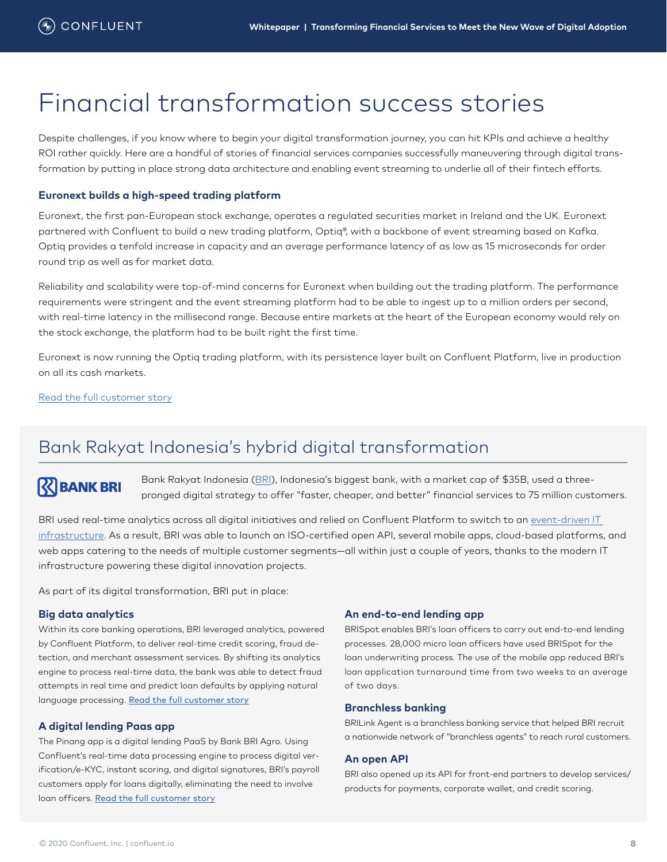### <span id="page-7-0"></span>Financial transformation success stories

Despite challenges, if you know where to begin your digital transformation journey, you can hit KPIs and achieve a healthy ROI rather quickly. Here are a handful of stories of financial services companies successfully maneuvering through digital transformation by putting in place strong data architecture and enabling event streaming to underlie all of their fintech efforts.

#### **Euronext builds a high-speed trading platform**

Euronext, the first pan-European stock exchange, operates a regulated securities market in Ireland and the UK. Euronext partnered with Confluent to build a new trading platform, Optiq®, with a backbone of event streaming based on Kafka. Optiq provides a tenfold increase in capacity and an average performance latency of as low as 15 microseconds for order round trip as well as for market data.

Reliability and scalability were top-of-mind concerns for Euronext when building out the trading platform. The performance requirements were stringent and the event streaming platform had to be able to ingest up to a million orders per second, with real-time latency in the millisecond range. Because entire markets at the heart of the European economy would rely on the stock exchange, the platform had to be built right the first time.

Euronext is now running the Optiq trading platform, with its persistence layer built on Confluent Platform, live in production on all its cash markets.

[Read the full customer story](https://www.confluent.io/customers/euronext/)

### Bank Rakyat Indonesia's hybrid digital transformation

### **RIBANK BRI**

Bank Rakyat Indonesia [\(BRI](https://www.cio.com/article/3406761/how-bank-bri-is-accelerating-financial-inclusion-in-indonesia.html)), Indonesia's biggest bank, with a market cap of \$35B, used a threepronged digital strategy to offer "faster, cheaper, and better" financial services to 75 million customers.

BRI used real-time analytics across all digital initiatives and relied on Confluent Platform to switch to an [event-driven IT](https://www.confluent.io/customers/bri/)  [infrastructure](https://www.confluent.io/customers/bri/). As a result, BRI was able to launch an ISO-certified open API, several mobile apps, cloud-based platforms, and web apps catering to the needs of multiple customer segments—all within just a couple of years, thanks to the modern IT infrastructure powering these digital innovation projects.

As part of its digital transformation, BRI put in place:

#### **Big data analytics**

Within its core banking operations, BRI leveraged analytics, powered by Confluent Platform, to deliver real-time credit scoring, fraud detection, and merchant assessment services. By shifting its analytics engine to process real-time data, the bank was able to detect fraud attempts in real time and predict loan defaults by applying natural language processing. [Read the full customer story](https://www.confluent.io/customers/bri/)

#### **A digital lending Paas app**

The Pinang app is a digital lending PaaS by Bank BRI Agro. Using Confluent's real-time data processing engine to process digital verification/e-KYC, instant scoring, and digital signatures, BRI's payroll customers apply for loans digitally, eliminating the need to involve loan officers. [Read the full customer story](https://cdn.confluent.io/wp-content/uploads/BRI.pdf?_ga=2.43462055.382456779.1594122132-2026439934.1592459816)

#### **An end-to-end lending app**

BRISpot enables BRI's loan officers to carry out end-to-end lending processes. 28,000 micro loan officers have used BRISpot for the loan underwriting process. The use of the mobile app reduced BRI's loan application turnaround time from two weeks to an average of two days.

#### **Branchless banking**

BRILink Agent is a branchless banking service that helped BRI recruit a nationwide network of "branchless agents" to reach rural customers.

#### **An open API**

BRI also opened up its API for front-end partners to develop services/ products for payments, corporate wallet, and credit scoring.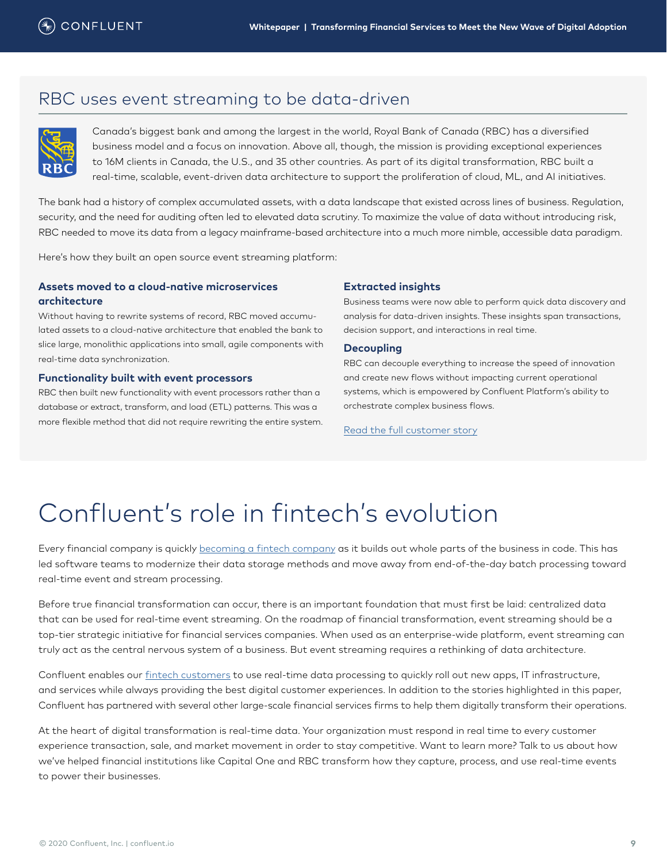### <span id="page-8-0"></span>RBC uses event streaming to be data-driven



Canada's biggest bank and among the largest in the world, Royal Bank of Canada (RBC) has a diversified business model and a focus on innovation. Above all, though, the mission is providing exceptional experiences to 16M clients in Canada, the U.S., and 35 other countries. As part of its digital transformation, RBC built a real-time, scalable, event-driven data architecture to support the proliferation of cloud, ML, and AI initiatives.

The bank had a history of complex accumulated assets, with a data landscape that existed across lines of business. Regulation, security, and the need for auditing often led to elevated data scrutiny. To maximize the value of data without introducing risk, RBC needed to move its data from a legacy mainframe-based architecture into a much more nimble, accessible data paradigm.

Here's how they built an open source event streaming platform:

### **Assets moved to a cloud-native microservices architecture**

Without having to rewrite systems of record, RBC moved accumulated assets to a cloud-native architecture that enabled the bank to slice large, monolithic applications into small, agile components with real-time data synchronization.

#### **Functionality built with event processors**

RBC then built new functionality with event processors rather than a database or extract, transform, and load (ETL) patterns. This was a more flexible method that did not require rewriting the entire system.

#### **Extracted insights**

Business teams were now able to perform quick data discovery and analysis for data-driven insights. These insights span transactions, decision support, and interactions in real time.

#### **Decoupling**

RBC can decouple everything to increase the speed of innovation and create new flows without impacting current operational systems, which is empowered by Confluent Platform's ability to orchestrate complex business flows.

[Read the full customer story](https://www.confluent.io/customers/rbc/)

# Confluent's role in fintech's evolution

Every financial company is quickly [becoming a fintech company](https://www.confluent.io/blog/every-company-is-becoming-software/) as it builds out whole parts of the business in code. This has led software teams to modernize their data storage methods and move away from end-of-the-day batch processing toward real-time event and stream processing.

Before true financial transformation can occur, there is an important foundation that must first be laid: centralized data that can be used for real-time event streaming. On the roadmap of financial transformation, event streaming should be a top-tier strategic initiative for financial services companies. When used as an enterprise-wide platform, event streaming can truly act as the central nervous system of a business. But event streaming requires a rethinking of data architecture.

Confluent enables our [fintech customers](https://www.confluent.io/customers) to use real-time data processing to quickly roll out new apps, IT infrastructure, and services while always providing the best digital customer experiences. In addition to the stories highlighted in this paper, Confluent has partnered with several other large-scale financial services firms to help them digitally transform their operations.

At the heart of digital transformation is real-time data. Your organization must respond in real time to every customer experience transaction, sale, and market movement in order to stay competitive. Want to learn more? Talk to us about how we've helped financial institutions like Capital One and RBC transform how they capture, process, and use real-time events to power their businesses.